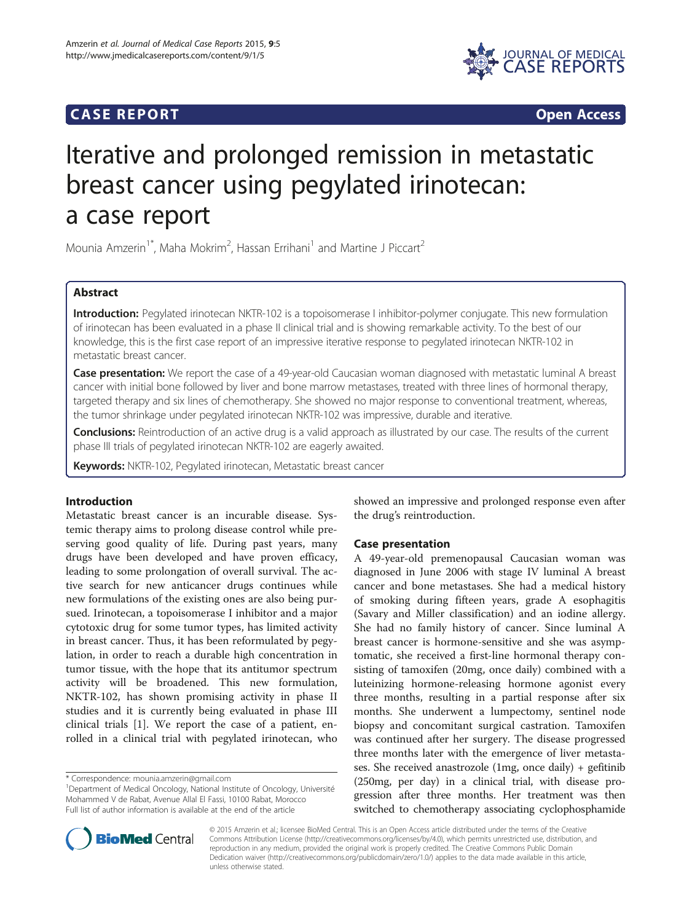## **CASE REPORT CASE REPORT**



# Iterative and prolonged remission in metastatic breast cancer using pegylated irinotecan: a case report

Mounia Amzerin<sup>1\*</sup>, Maha Mokrim<sup>2</sup>, Hassan Errihani<sup>1</sup> and Martine J Piccart<sup>2</sup>

## Abstract

Introduction: Pegylated irinotecan NKTR-102 is a topoisomerase I inhibitor-polymer conjugate. This new formulation of irinotecan has been evaluated in a phase II clinical trial and is showing remarkable activity. To the best of our knowledge, this is the first case report of an impressive iterative response to pegylated irinotecan NKTR-102 in metastatic breast cancer.

Case presentation: We report the case of a 49-year-old Caucasian woman diagnosed with metastatic luminal A breast cancer with initial bone followed by liver and bone marrow metastases, treated with three lines of hormonal therapy, targeted therapy and six lines of chemotherapy. She showed no major response to conventional treatment, whereas, the tumor shrinkage under pegylated irinotecan NKTR-102 was impressive, durable and iterative.

Conclusions: Reintroduction of an active drug is a valid approach as illustrated by our case. The results of the current phase III trials of pegylated irinotecan NKTR-102 are eagerly awaited.

Keywords: NKTR-102, Pegylated irinotecan, Metastatic breast cancer

## Introduction

Metastatic breast cancer is an incurable disease. Systemic therapy aims to prolong disease control while preserving good quality of life. During past years, many drugs have been developed and have proven efficacy, leading to some prolongation of overall survival. The active search for new anticancer drugs continues while new formulations of the existing ones are also being pursued. Irinotecan, a topoisomerase I inhibitor and a major cytotoxic drug for some tumor types, has limited activity in breast cancer. Thus, it has been reformulated by pegylation, in order to reach a durable high concentration in tumor tissue, with the hope that its antitumor spectrum activity will be broadened. This new formulation, NKTR-102, has shown promising activity in phase II studies and it is currently being evaluated in phase III clinical trials [[1\]](#page-3-0). We report the case of a patient, enrolled in a clinical trial with pegylated irinotecan, who

showed an impressive and prolonged response even after the drug's reintroduction.

## Case presentation

A 49-year-old premenopausal Caucasian woman was diagnosed in June 2006 with stage IV luminal A breast cancer and bone metastases. She had a medical history of smoking during fifteen years, grade A esophagitis (Savary and Miller classification) and an iodine allergy. She had no family history of cancer. Since luminal A breast cancer is hormone-sensitive and she was asymptomatic, she received a first-line hormonal therapy consisting of tamoxifen (20mg, once daily) combined with a luteinizing hormone-releasing hormone agonist every three months, resulting in a partial response after six months. She underwent a lumpectomy, sentinel node biopsy and concomitant surgical castration. Tamoxifen was continued after her surgery. The disease progressed three months later with the emergence of liver metastases. She received anastrozole (1mg, once daily) + gefitinib (250mg, per day) in a clinical trial, with disease progression after three months. Her treatment was then switched to chemotherapy associating cyclophosphamide



© 2015 Amzerin et al.; licensee BioMed Central. This is an Open Access article distributed under the terms of the Creative Commons Attribution License [\(http://creativecommons.org/licenses/by/4.0\)](http://creativecommons.org/licenses/by/4.0), which permits unrestricted use, distribution, and reproduction in any medium, provided the original work is properly credited. The Creative Commons Public Domain Dedication waiver [\(http://creativecommons.org/publicdomain/zero/1.0/](http://creativecommons.org/publicdomain/zero/1.0/)) applies to the data made available in this article, unless otherwise stated.

<sup>\*</sup> Correspondence: [mounia.amzerin@gmail.com](mailto:mounia.amzerin@gmail.com) <sup>1</sup>

<sup>&</sup>lt;sup>1</sup>Department of Medical Oncology, National Institute of Oncology, Université Mohammed V de Rabat, Avenue Allal El Fassi, 10100 Rabat, Morocco Full list of author information is available at the end of the article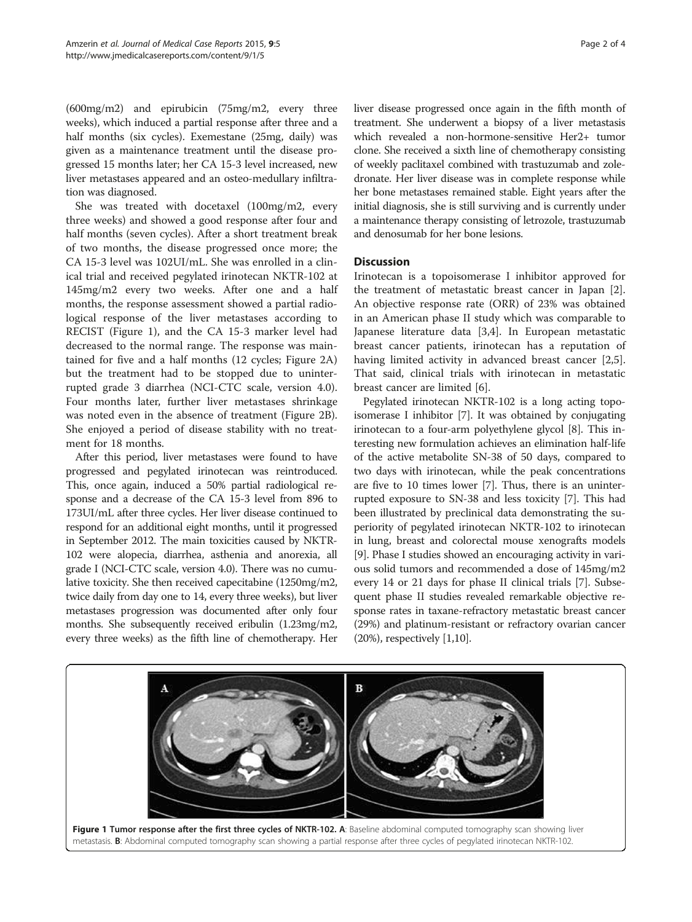(600mg/m2) and epirubicin (75mg/m2, every three weeks), which induced a partial response after three and a half months (six cycles). Exemestane (25mg, daily) was given as a maintenance treatment until the disease progressed 15 months later; her CA 15-3 level increased, new liver metastases appeared and an osteo-medullary infiltration was diagnosed.

She was treated with docetaxel (100mg/m2, every three weeks) and showed a good response after four and half months (seven cycles). After a short treatment break of two months, the disease progressed once more; the CA 15-3 level was 102UI/mL. She was enrolled in a clinical trial and received pegylated irinotecan NKTR-102 at 145mg/m2 every two weeks. After one and a half months, the response assessment showed a partial radiological response of the liver metastases according to RECIST (Figure 1), and the CA 15-3 marker level had decreased to the normal range. The response was maintained for five and a half months (12 cycles; Figure [2](#page-2-0)A) but the treatment had to be stopped due to uninterrupted grade 3 diarrhea (NCI-CTC scale, version 4.0). Four months later, further liver metastases shrinkage was noted even in the absence of treatment (Figure [2](#page-2-0)B). She enjoyed a period of disease stability with no treatment for 18 months.

After this period, liver metastases were found to have progressed and pegylated irinotecan was reintroduced. This, once again, induced a 50% partial radiological response and a decrease of the CA 15-3 level from 896 to 173UI/mL after three cycles. Her liver disease continued to respond for an additional eight months, until it progressed in September 2012. The main toxicities caused by NKTR-102 were alopecia, diarrhea, asthenia and anorexia, all grade I (NCI-CTC scale, version 4.0). There was no cumulative toxicity. She then received capecitabine (1250mg/m2, twice daily from day one to 14, every three weeks), but liver metastases progression was documented after only four months. She subsequently received eribulin (1.23mg/m2, every three weeks) as the fifth line of chemotherapy. Her liver disease progressed once again in the fifth month of treatment. She underwent a biopsy of a liver metastasis which revealed a non-hormone-sensitive Her2+ tumor clone. She received a sixth line of chemotherapy consisting of weekly paclitaxel combined with trastuzumab and zoledronate. Her liver disease was in complete response while her bone metastases remained stable. Eight years after the initial diagnosis, she is still surviving and is currently under a maintenance therapy consisting of letrozole, trastuzumab and denosumab for her bone lesions.

## Discussion

Irinotecan is a topoisomerase I inhibitor approved for the treatment of metastatic breast cancer in Japan [\[2](#page-3-0)]. An objective response rate (ORR) of 23% was obtained in an American phase II study which was comparable to Japanese literature data [[3,4\]](#page-3-0). In European metastatic breast cancer patients, irinotecan has a reputation of having limited activity in advanced breast cancer [\[2,5](#page-3-0)]. That said, clinical trials with irinotecan in metastatic breast cancer are limited [\[6\]](#page-3-0).

Pegylated irinotecan NKTR-102 is a long acting topoisomerase I inhibitor [\[7\]](#page-3-0). It was obtained by conjugating irinotecan to a four-arm polyethylene glycol [\[8\]](#page-3-0). This interesting new formulation achieves an elimination half-life of the active metabolite SN-38 of 50 days, compared to two days with irinotecan, while the peak concentrations are five to 10 times lower [\[7\]](#page-3-0). Thus, there is an uninterrupted exposure to SN-38 and less toxicity [[7](#page-3-0)]. This had been illustrated by preclinical data demonstrating the superiority of pegylated irinotecan NKTR-102 to irinotecan in lung, breast and colorectal mouse xenografts models [[9\]](#page-3-0). Phase I studies showed an encouraging activity in various solid tumors and recommended a dose of 145mg/m2 every 14 or 21 days for phase II clinical trials [\[7](#page-3-0)]. Subsequent phase II studies revealed remarkable objective response rates in taxane-refractory metastatic breast cancer (29%) and platinum-resistant or refractory ovarian cancer (20%), respectively [\[1,10\]](#page-3-0).

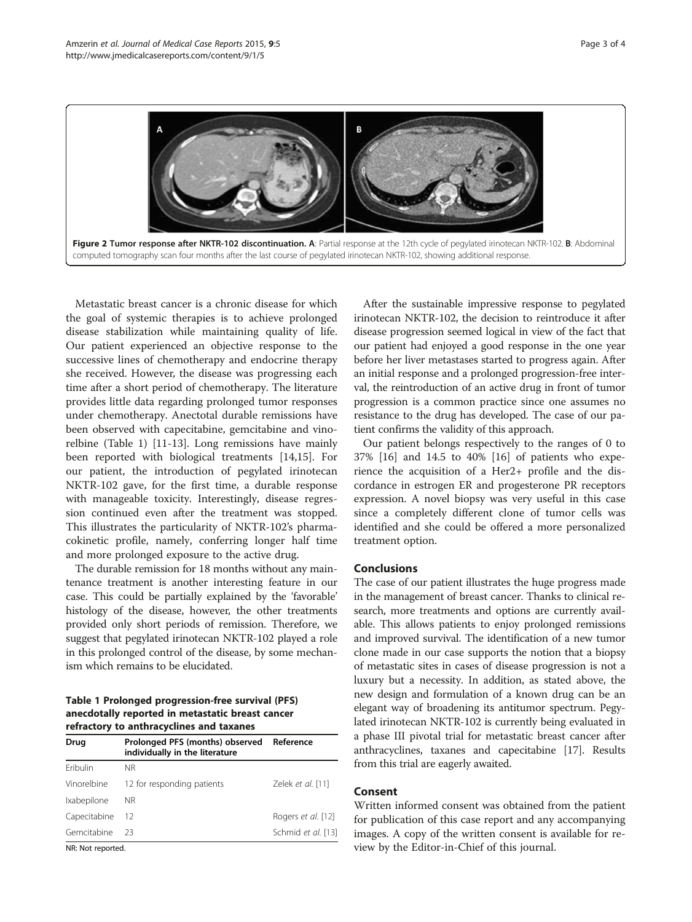<span id="page-2-0"></span>

Metastatic breast cancer is a chronic disease for which the goal of systemic therapies is to achieve prolonged disease stabilization while maintaining quality of life. Our patient experienced an objective response to the successive lines of chemotherapy and endocrine therapy she received. However, the disease was progressing each time after a short period of chemotherapy. The literature provides little data regarding prolonged tumor responses under chemotherapy. Anectotal durable remissions have been observed with capecitabine, gemcitabine and vinorelbine (Table 1) [[11](#page-3-0)-[13\]](#page-3-0). Long remissions have mainly been reported with biological treatments [[14,15\]](#page-3-0). For our patient, the introduction of pegylated irinotecan NKTR-102 gave, for the first time, a durable response with manageable toxicity. Interestingly, disease regression continued even after the treatment was stopped. This illustrates the particularity of NKTR-102's pharmacokinetic profile, namely, conferring longer half time and more prolonged exposure to the active drug.

The durable remission for 18 months without any maintenance treatment is another interesting feature in our case. This could be partially explained by the 'favorable' histology of the disease, however, the other treatments provided only short periods of remission. Therefore, we suggest that pegylated irinotecan NKTR-102 played a role in this prolonged control of the disease, by some mechanism which remains to be elucidated.

## Table 1 Prolonged progression-free survival (PFS) anecdotally reported in metastatic breast cancer refractory to anthracyclines and taxanes

| Drug         | Prolonged PFS (months) observed<br>individually in the literature | Reference          |
|--------------|-------------------------------------------------------------------|--------------------|
| Eribulin     | <b>NR</b>                                                         |                    |
| Vinorelbine  | 12 for responding patients                                        | Zelek et al. [11]  |
| Ixabepilone  | ΝR                                                                |                    |
| Capecitabine | 12                                                                | Rogers et al. [12] |
| Gemcitabine  | 23                                                                | Schmid et al. [13] |

NR: Not reported.

After the sustainable impressive response to pegylated irinotecan NKTR-102, the decision to reintroduce it after disease progression seemed logical in view of the fact that our patient had enjoyed a good response in the one year before her liver metastases started to progress again. After an initial response and a prolonged progression-free interval, the reintroduction of an active drug in front of tumor progression is a common practice since one assumes no resistance to the drug has developed. The case of our patient confirms the validity of this approach.

Our patient belongs respectively to the ranges of 0 to 37% [\[16](#page-3-0)] and 14.5 to 40% [\[16](#page-3-0)] of patients who experience the acquisition of a Her2+ profile and the discordance in estrogen ER and progesterone PR receptors expression. A novel biopsy was very useful in this case since a completely different clone of tumor cells was identified and she could be offered a more personalized treatment option.

## Conclusions

The case of our patient illustrates the huge progress made in the management of breast cancer. Thanks to clinical research, more treatments and options are currently available. This allows patients to enjoy prolonged remissions and improved survival. The identification of a new tumor clone made in our case supports the notion that a biopsy of metastatic sites in cases of disease progression is not a luxury but a necessity. In addition, as stated above, the new design and formulation of a known drug can be an elegant way of broadening its antitumor spectrum. Pegylated irinotecan NKTR-102 is currently being evaluated in a phase III pivotal trial for metastatic breast cancer after anthracyclines, taxanes and capecitabine [\[17](#page-3-0)]. Results from this trial are eagerly awaited.

## Consent

Written informed consent was obtained from the patient for publication of this case report and any accompanying images. A copy of the written consent is available for review by the Editor-in-Chief of this journal.